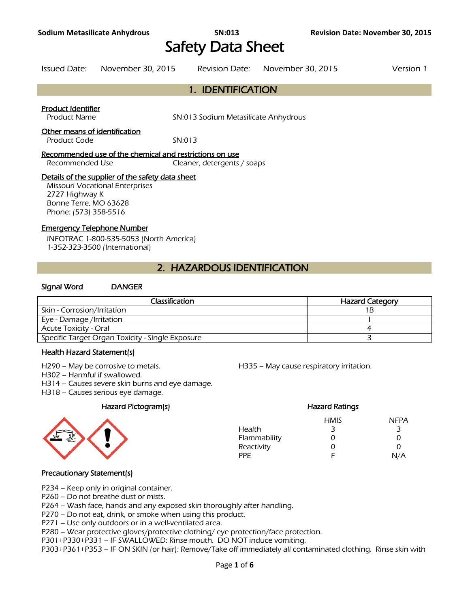# Safety Data Sheet

Issued Date: November 30, 2015 Revision Date: November 30, 2015 Version 1

# 1. IDENTIFICATION

# Product Identifier

Product Name SN:013 Sodium Metasilicate Anhydrous

### Other means of identification

Product Code SN:013

#### Recommended use of the chemical and restrictions on use

Recommended Use Cleaner, detergents / soaps

### Details of the supplier of the safety data sheet

Missouri Vocational Enterprises 2727 Highway K Bonne Terre, MO 63628 Phone: (573) 358-5516

# Emergency Telephone Number

INFOTRAC 1-800-535-5053 (North America) 1-352-323-3500 (International)

# 2. HAZARDOUS IDENTIFICATION

### Signal Word DANGER

| <b>Classification</b>                            | <b>Hazard Category</b> |
|--------------------------------------------------|------------------------|
| Skin - Corrosion/Irritation                      |                        |
| Eye - Damage /Irritation                         |                        |
| Acute Toxicity - Oral                            |                        |
| Specific Target Organ Toxicity - Single Exposure |                        |
|                                                  |                        |

# Health Hazard Statement(s)

H302 – Harmful if swallowed.

H314 – Causes severe skin burns and eye damage.

H318 – Causes serious eye damage.

# Hazard Pictogram(s) Hazard Ratings



H290 – May be corrosive to metals. H335 – May cause respiratory irritation.

# HMIS NFPA Health 3 3 3 Flammability 0 0 0 0 Reactivity 0 0 0 PPE F N/A

# Precautionary Statement(s)

P234 – Keep only in original container.

P260 – Do not breathe dust or mists.

P264 – Wash face, hands and any exposed skin thoroughly after handling.

P270 – Do not eat, drink, or smoke when using this product.

P271 – Use only outdoors or in a well-ventilated area.

P280 – Wear protective gloves/protective clothing/ eye protection/face protection.

P301+P330+P331 – IF SWALLOWED: Rinse mouth. DO NOT induce vomiting.

P303+P361+P353 – IF ON SKIN (or hair): Remove/Take off immediately all contaminated clothing. Rinse skin with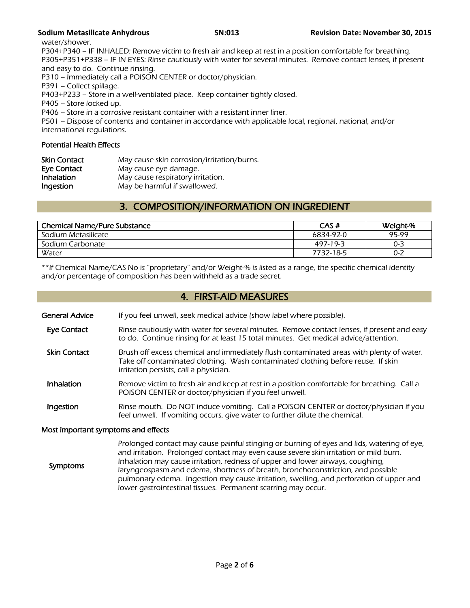water/shower.

P304+P340 – IF INHALED: Remove victim to fresh air and keep at rest in a position comfortable for breathing. P305+P351+P338 – IF IN EYES: Rinse cautiously with water for several minutes. Remove contact lenses, if present and easy to do. Continue rinsing.

P310 – Immediately call a POISON CENTER or doctor/physician.

P391 – Collect spillage.

P403+P233 – Store in a well-ventilated place. Keep container tightly closed.

P405 – Store locked up.

P406 – Store in a corrosive resistant container with a resistant inner liner.

P501 – Dispose of contents and container in accordance with applicable local, regional, national, and/or international regulations.

# Potential Health Effects

| <b>Skin Contact</b> | May cause skin corrosion/irritation/burns. |
|---------------------|--------------------------------------------|
| Eye Contact         | May cause eye damage.                      |
| <b>Inhalation</b>   | May cause respiratory irritation.          |
| Ingestion           | May be harmful if swallowed.               |

# 3. COMPOSITION/INFORMATION ON INGREDIENT

| <b>Chemical Name/Pure Substance</b> | CAS#      | Weight-% |
|-------------------------------------|-----------|----------|
| Sodium Metasilicate                 | 6834-92-0 | 95-99    |
| Sodium Carbonate                    | 497-19-3  | 0-3      |
| Water                               | 7732-18-5 | 0-2      |
|                                     |           |          |

\*\*If Chemical Name/CAS No is "proprietary" and/or Weight-% is listed as a range, the specific chemical identity and/or percentage of composition has been withheld as a trade secret.

# 4. FIRST-AID MEASURES

General Advice If you feel unwell, seek medical advice (show label where possible).

- Eye Contact Rinse cautiously with water for several minutes. Remove contact lenses, if present and easy to do. Continue rinsing for at least 15 total minutes. Get medical advice/attention.
- Skin Contact Brush off excess chemical and immediately flush contaminated areas with plenty of water. Take off contaminated clothing. Wash contaminated clothing before reuse. If skin irritation persists, call a physician.
- Inhalation Remove victim to fresh air and keep at rest in a position comfortable for breathing. Call a POISON CENTER or doctor/physician if you feel unwell.
- **Ingestion** Rinse mouth. Do NOT induce vomiting. Call a POISON CENTER or doctor/physician if you feel unwell. If vomiting occurs, give water to further dilute the chemical.

# Most important symptoms and effects

 Symptoms Prolonged contact may cause painful stinging or burning of eyes and lids, watering of eye, and irritation. Prolonged contact may even cause severe skin irritation or mild burn. Inhalation may cause irritation, redness of upper and lower airways, coughing, laryngeospasm and edema, shortness of breath, bronchoconstriction, and possible pulmonary edema. Ingestion may cause irritation, swelling, and perforation of upper and lower gastrointestinal tissues. Permanent scarring may occur.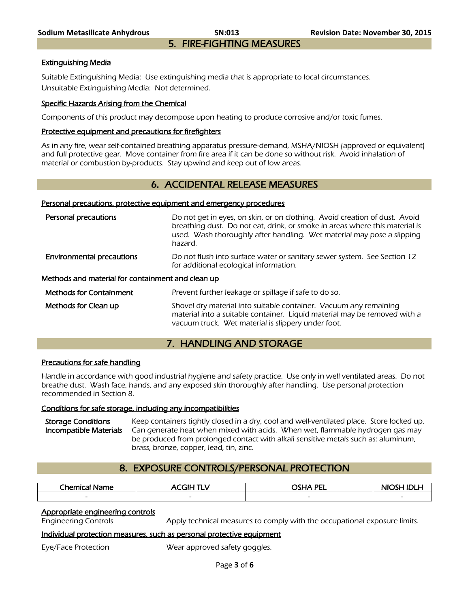### Extinguishing Media

Suitable Extinguishing Media: Use extinguishing media that is appropriate to local circumstances. Unsuitable Extinguishing Media: Not determined.

### Specific Hazards Arising from the Chemical

Components of this product may decompose upon heating to produce corrosive and/or toxic fumes.

### Protective equipment and precautions for firefighters

As in any fire, wear self-contained breathing apparatus pressure-demand, MSHA/NIOSH (approved or equivalent) and full protective gear. Move container from fire area if it can be done so without risk. Avoid inhalation of material or combustion by-products. Stay upwind and keep out of low areas.

# 6. ACCIDENTAL RELEASE MEASURES

#### Personal precautions, protective equipment and emergency procedures

| Personal precautions                              | Do not get in eyes, on skin, or on clothing. Avoid creation of dust. Avoid<br>breathing dust. Do not eat, drink, or smoke in areas where this material is<br>used. Wash thoroughly after handling. Wet material may pose a slipping<br>hazard. |
|---------------------------------------------------|------------------------------------------------------------------------------------------------------------------------------------------------------------------------------------------------------------------------------------------------|
| <b>Environmental precautions</b>                  | Do not flush into surface water or sanitary sewer system. See Section 12<br>for additional ecological information.                                                                                                                             |
| Methods and material for containment and clean up |                                                                                                                                                                                                                                                |
| <b>Methods for Containment</b>                    | Prevent further leakage or spillage if safe to do so.                                                                                                                                                                                          |
| Methods for Clean up                              | Shovel dry material into suitable container. Vacuum any remaining<br>material into a suitable container. Liquid material may be removed with a<br>vacuum truck. Wet material is slippery under foot.                                           |

# 7. HANDLING AND STORAGE

#### Precautions for safe handling

Handle in accordance with good industrial hygiene and safety practice. Use only in well ventilated areas. Do not breathe dust. Wash face, hands, and any exposed skin thoroughly after handling. Use personal protection recommended in Section 8.

#### Conditions for safe storage, including any incompatibilities

Storage Conditions Keep containers tightly closed in a dry, cool and well-ventilated place. Store locked up.<br>Incompatible Materials Can generate heat when mixed with acids. When wet, flammable hydrogen gas may Can generate heat when mixed with acids. When wet, flammable hydrogen gas may be produced from prolonged contact with alkali sensitive metals such as: aluminum, brass, bronze, copper, lead, tin, zinc.

# 8. EXPOSURE CONTROLS/PERSONAL PROTECTION

| Chemical<br>Name         | -<br>. (¶l⊨ .<br>v<br>nı | <b>OSHA PEI</b><br>--    | NK |
|--------------------------|--------------------------|--------------------------|----|
| $\overline{\phantom{0}}$ | $\overline{\phantom{a}}$ | $\overline{\phantom{0}}$ | -  |
|                          |                          |                          |    |

# Appropriate engineering controls

Engineering Controls Apply technical measures to comply with the occupational exposure limits.

#### Individual protection measures, such as personal protective equipment

Eye/Face Protection Wear approved safety goggles.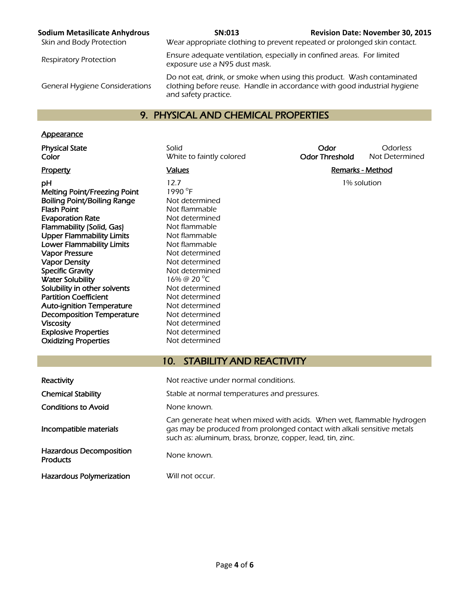General Hygiene Considerations

Skin and Body Protection Wear appropriate clothing to prevent repeated or prolonged skin contact.

Respiratory Protection Ensure adequate ventilation, especially in confined areas. For limited exposure use a N95 dust mask.

> Do not eat, drink, or smoke when using this product. Wash contaminated clothing before reuse. Handle in accordance with good industrial hygiene and safety practice.

# 9. PHYSICAL AND CHEMICAL PROPERTIES

# **Appearance**

 $\mathsf{pH}$  12.7 1% solution Melting Point/Freezing Point Boiling Point/Boiling Range Not determined **Flash Point** Not flammable Evaporation Rate Not determined Flammability (Solid, Gas) Not flammable Upper Flammability Limits Not flammable Lower Flammability Limits Not flammable Vapor Pressure Not determined Vapor Density<br>
Specific Gravity<br>
Not determined Water Solubility Solubility in other solvents Not determined Partition Coefficient Not determined Auto-ignition Temperature Mot determined Decomposition Temperature Not determined Viscosity **Not determined** Explosive Properties Not determined Oxidizing Properties Not determined

1990 °F Not determined 16% @ 20 °C

Physical State **Solid** Solid Scotless Color Colorless Color Colorless<br>Color Color Threshold Not Determined Color White to faintly colored **Odor Threshold** Not Determined

Property **Example 2** Values **Container Values Remarks - Method** 

# 10. STABILITY AND REACTIVITY

| Reactivity                                 | Not reactive under normal conditions.                                                                                                                                                                          |
|--------------------------------------------|----------------------------------------------------------------------------------------------------------------------------------------------------------------------------------------------------------------|
| <b>Chemical Stability</b>                  | Stable at normal temperatures and pressures.                                                                                                                                                                   |
| <b>Conditions to Avoid</b>                 | None known.                                                                                                                                                                                                    |
| Incompatible materials                     | Can generate heat when mixed with acids. When wet, flammable hydrogen<br>gas may be produced from prolonged contact with alkali sensitive metals<br>such as: aluminum, brass, bronze, copper, lead, tin, zinc. |
| Hazardous Decomposition<br><b>Products</b> | None known.                                                                                                                                                                                                    |
| <b>Hazardous Polymerization</b>            | Will not occur.                                                                                                                                                                                                |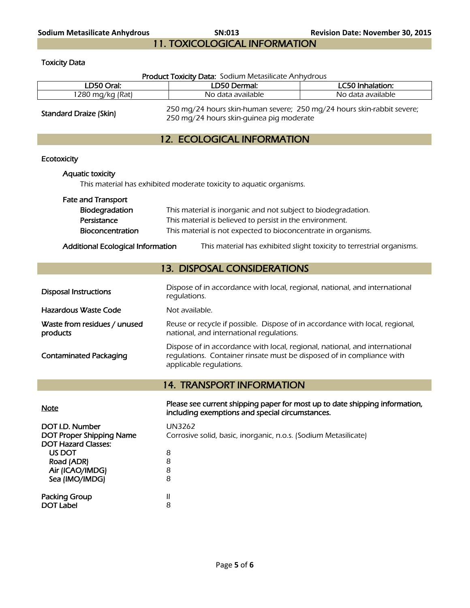**Sodium Metasilicate Anhydrous SN:013 Revision Date: November 30, 2015**  11. TOXICOLOGICAL INFORMATION

Toxicity Data

| Product Toxicity Data: Sodium Metasilicate Anhydrous                                                                                                                                                                                                                         |                                                                                                                                                                                |                                                                       |  |
|------------------------------------------------------------------------------------------------------------------------------------------------------------------------------------------------------------------------------------------------------------------------------|--------------------------------------------------------------------------------------------------------------------------------------------------------------------------------|-----------------------------------------------------------------------|--|
| LD50 Oral:                                                                                                                                                                                                                                                                   | LD50 Dermal:                                                                                                                                                                   | LC50 Inhalation:                                                      |  |
| 1280 mg/kg (Rat)                                                                                                                                                                                                                                                             | No data available                                                                                                                                                              | No data available                                                     |  |
| Standard Draize (Skin)                                                                                                                                                                                                                                                       | 250 mg/24 hours skin-human severe; 250 mg/24 hours skin-rabbit severe;<br>250 mg/24 hours skin-guinea pig moderate                                                             |                                                                       |  |
|                                                                                                                                                                                                                                                                              | <b>12. ECOLOGICAL INFORMATION</b>                                                                                                                                              |                                                                       |  |
| Ecotoxicity                                                                                                                                                                                                                                                                  |                                                                                                                                                                                |                                                                       |  |
| <b>Aquatic toxicity</b>                                                                                                                                                                                                                                                      | This material has exhibited moderate toxicity to aquatic organisms.                                                                                                            |                                                                       |  |
| <b>Fate and Transport</b><br>Biodegradation<br>This material is inorganic and not subject to biodegradation.<br>Persistance<br>This material is believed to persist in the environment.<br>This material is not expected to bioconcentrate in organisms.<br>Bioconcentration |                                                                                                                                                                                |                                                                       |  |
| <b>Additional Ecological Information</b>                                                                                                                                                                                                                                     |                                                                                                                                                                                | This material has exhibited slight toxicity to terrestrial organisms. |  |
|                                                                                                                                                                                                                                                                              | <b>13. DISPOSAL CONSIDERATIONS</b>                                                                                                                                             |                                                                       |  |
| <b>Disposal Instructions</b>                                                                                                                                                                                                                                                 | Dispose of in accordance with local, regional, national, and international<br>regulations.                                                                                     |                                                                       |  |
| <b>Hazardous Waste Code</b>                                                                                                                                                                                                                                                  | Not available.                                                                                                                                                                 |                                                                       |  |
| Waste from residues / unused<br>products                                                                                                                                                                                                                                     | Reuse or recycle if possible. Dispose of in accordance with local, regional,<br>national, and international regulations.                                                       |                                                                       |  |
| <b>Contaminated Packaging</b>                                                                                                                                                                                                                                                | Dispose of in accordance with local, regional, national, and international<br>regulations. Container rinsate must be disposed of in compliance with<br>applicable regulations. |                                                                       |  |
|                                                                                                                                                                                                                                                                              | <b>14. TRANSPORT INFORMATION</b>                                                                                                                                               |                                                                       |  |
| <b>Note</b>                                                                                                                                                                                                                                                                  | Please see current shipping paper for most up to date shipping information,<br>including exemptions and special circumstances.                                                 |                                                                       |  |
| DOT I.D. Number<br><b>DOT Proper Shipping Name</b><br><b>DOT Hazard Classes:</b><br>US DOT<br>Road (ADR)<br>Air (ICAO/IMDG)<br>Sea (IMO/IMDG)                                                                                                                                | <b>UN3262</b><br>Corrosive solid, basic, inorganic, n.o.s. (Sodium Metasilicate)<br>8<br>8<br>8<br>8                                                                           |                                                                       |  |
| <b>Packing Group</b><br><b>DOT Label</b>                                                                                                                                                                                                                                     | Ш<br>8                                                                                                                                                                         |                                                                       |  |